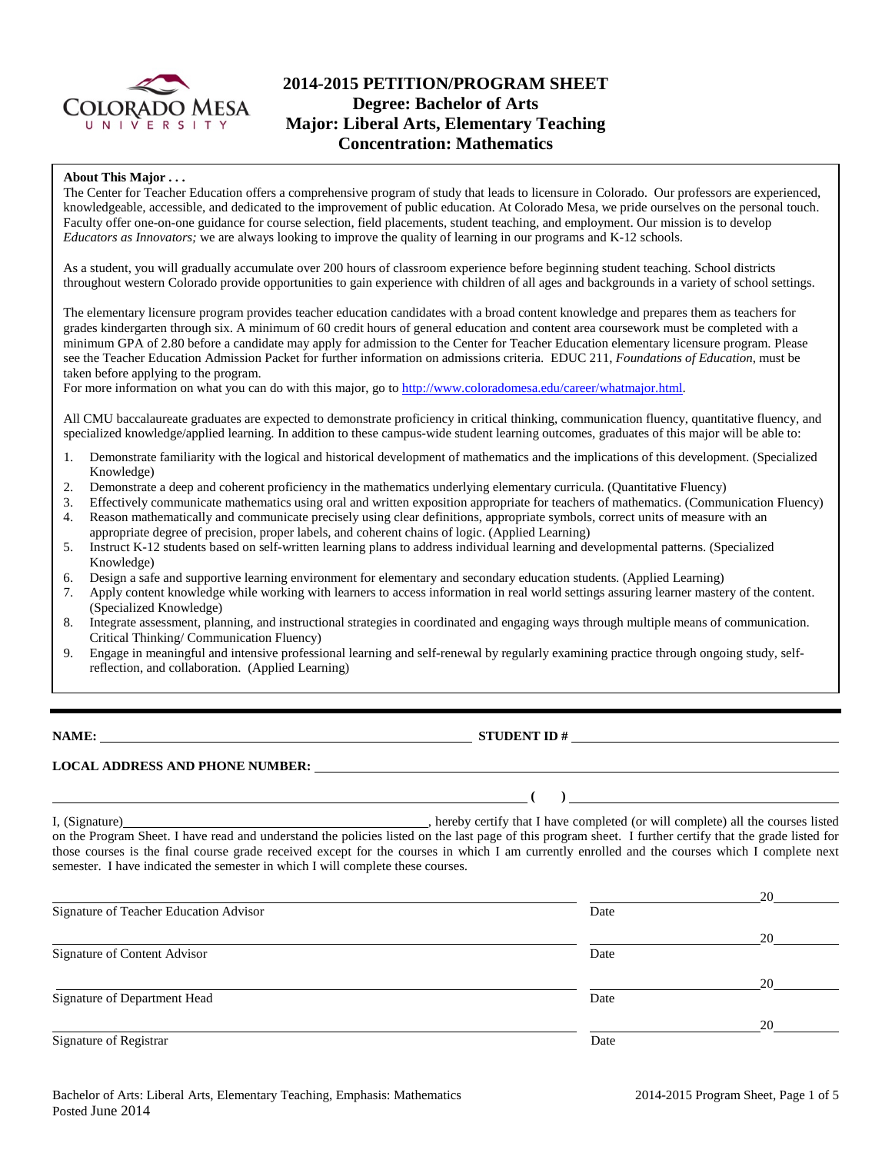

# **2014-2015 PETITION/PROGRAM SHEET Degree: Bachelor of Arts Major: Liberal Arts, Elementary Teaching Concentration: Mathematics**

#### **About This Major . . .**

The Center for Teacher Education offers a comprehensive program of study that leads to licensure in Colorado. Our professors are experienced, knowledgeable, accessible, and dedicated to the improvement of public education. At Colorado Mesa, we pride ourselves on the personal touch. Faculty offer one-on-one guidance for course selection, field placements, student teaching, and employment. Our mission is to develop *Educators as Innovators;* we are always looking to improve the quality of learning in our programs and K-12 schools.

As a student, you will gradually accumulate over 200 hours of classroom experience before beginning student teaching. School districts throughout western Colorado provide opportunities to gain experience with children of all ages and backgrounds in a variety of school settings.

The elementary licensure program provides teacher education candidates with a broad content knowledge and prepares them as teachers for grades kindergarten through six. A minimum of 60 credit hours of general education and content area coursework must be completed with a minimum GPA of 2.80 before a candidate may apply for admission to the Center for Teacher Education elementary licensure program. Please see the Teacher Education Admission Packet for further information on admissions criteria. EDUC 211, *Foundations of Education*, must be taken before applying to the program.

For more information on what you can do with this major, go to [http://www.coloradomesa.edu/career/whatmajor.html.](http://www.coloradomesa.edu/career/whatmajor.html)

All CMU baccalaureate graduates are expected to demonstrate proficiency in critical thinking, communication fluency, quantitative fluency, and specialized knowledge/applied learning. In addition to these campus-wide student learning outcomes, graduates of this major will be able to:

- 1. Demonstrate familiarity with the logical and historical development of mathematics and the implications of this development. (Specialized Knowledge)
- 2. Demonstrate a deep and coherent proficiency in the mathematics underlying elementary curricula. (Quantitative Fluency)
- 3. Effectively communicate mathematics using oral and written exposition appropriate for teachers of mathematics. (Communication Fluency)
- 4. Reason mathematically and communicate precisely using clear definitions, appropriate symbols, correct units of measure with an
- appropriate degree of precision, proper labels, and coherent chains of logic. (Applied Learning)
- 5. Instruct K-12 students based on self-written learning plans to address individual learning and developmental patterns. (Specialized Knowledge)
- 6. Design a safe and supportive learning environment for elementary and secondary education students. (Applied Learning)
- 7. Apply content knowledge while working with learners to access information in real world settings assuring learner mastery of the content. (Specialized Knowledge)
- 8. Integrate assessment, planning, and instructional strategies in coordinated and engaging ways through multiple means of communication. Critical Thinking/ Communication Fluency)
- 9. Engage in meaningful and intensive professional learning and self-renewal by regularly examining practice through ongoing study, selfreflection, and collaboration. (Applied Learning)

**NAME: STUDENT ID #** 

**(** ) <u>*<u></u>*</u>

#### **LOCAL ADDRESS AND PHONE NUMBER:**

I, (Signature) , hereby certify that I have completed (or will complete) all the courses listed on the Program Sheet. I have read and understand the policies listed on the last page of this program sheet. I further certify that the grade listed for those courses is the final course grade received except for the courses in which I am currently enrolled and the courses which I complete next semester. I have indicated the semester in which I will complete these courses.

|                                        |      | 20 |
|----------------------------------------|------|----|
| Signature of Teacher Education Advisor | Date |    |
|                                        |      | 20 |
| Signature of Content Advisor           | Date |    |
|                                        |      | 20 |
| Signature of Department Head           | Date |    |
|                                        |      | 20 |
| Signature of Registrar                 | Date |    |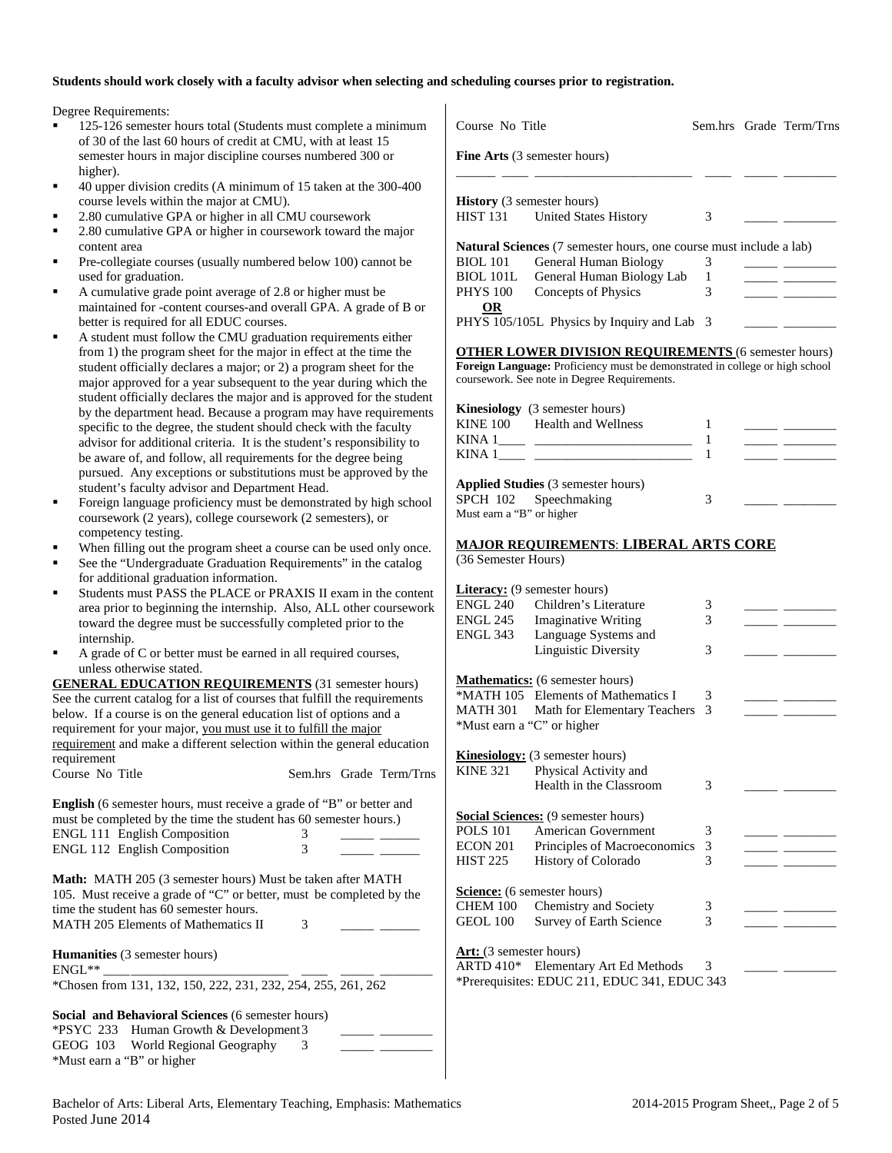#### **Students should work closely with a faculty advisor when selecting and scheduling courses prior to registration.**

 $\mathbf{I}$ 

Degree Requirements:

- 125-126 semester hours total (Students must complete a minimum of 30 of the last 60 hours of credit at CMU, with at least 15 semester hours in major discipline courses numbered 300 or higher).
- 40 upper division credits (A minimum of 15 taken at the 300-400 course levels within the major at CMU).
- 2.80 cumulative GPA or higher in all CMU coursework
- 2.80 cumulative GPA or higher in coursework toward the major content area
- Pre-collegiate courses (usually numbered below 100) cannot be used for graduation.
- A cumulative grade point average of 2.8 or higher must be maintained for -content courses-and overall GPA. A grade of B or better is required for all EDUC courses.
- A student must follow the CMU graduation requirements either from 1) the program sheet for the major in effect at the time the student officially declares a major; or 2) a program sheet for the major approved for a year subsequent to the year during which the student officially declares the major and is approved for the student by the department head. Because a program may have requirements specific to the degree, the student should check with the faculty advisor for additional criteria. It is the student's responsibility to be aware of, and follow, all requirements for the degree being pursued. Any exceptions or substitutions must be approved by the student's faculty advisor and Department Head.
- Foreign language proficiency must be demonstrated by high school coursework (2 years), college coursework (2 semesters), or competency testing.
- When filling out the program sheet a course can be used only once.
- See the "Undergraduate Graduation Requirements" in the catalog for additional graduation information.
- Students must PASS the PLACE or PRAXIS II exam in the content area prior to beginning the internship. Also, ALL other coursework toward the degree must be successfully completed prior to the internship.
- A grade of C or better must be earned in all required courses, unless otherwise stated.

**GENERAL EDUCATION REQUIREMENTS** (31 semester hours) See the current catalog for a list of courses that fulfill the requirements below. If a course is on the general education list of options and a requirement for your major, you must use it to fulfill the major requirement and make a different selection within the general education requirement

| Course No Title |  |  | Sem.hrs Grade Term/Trns |
|-----------------|--|--|-------------------------|
|-----------------|--|--|-------------------------|

**English** (6 semester hours, must receive a grade of "B" or better and must be completed by the time the student has 60 semester hours.) ENGL 111 English Composition 3 ENGL 112 English Composition 3 \_\_\_\_\_ \_\_\_\_\_\_ **Math:** MATH 205 (3 semester hours) Must be taken after MATH 105. Must receive a grade of "C" or better, must be completed by the time the student has 60 semester hours. MATH 205 Elements of Mathematics II 3 **Humanities** (3 semester hours)<br>ENGL\*\* ENGL\*\* \_\_\_\_\_\_\_\_\_\_\_\_\_\_\_\_\_\_\_\_\_\_\_\_\_\_\_\_ \_\_\_\_ \_\_\_\_\_ \_\_\_\_\_\_\_\_ \*Chosen from 131, 132, 150, 222, 231, 232, 254, 255, 261, 262 **Social and Behavioral Sciences** (6 semester hours) \*PSYC 233 Human Growth & Development3 \_\_\_\_\_ \_\_\_\_\_\_\_\_

GEOG 103 World Regional Geography 3

\*Must earn a "B" or higher

| Fine Arts (3 semester hours)<br><b>History</b> (3 semester hours)<br>HIST 131 United States History<br><b>Natural Sciences</b> (7 semester hours, one course must include a lab)<br><b>BIOL 101</b><br>General Human Biology<br>General Human Biology Lab<br>BIOL 101L | 3      |  |
|------------------------------------------------------------------------------------------------------------------------------------------------------------------------------------------------------------------------------------------------------------------------|--------|--|
|                                                                                                                                                                                                                                                                        |        |  |
|                                                                                                                                                                                                                                                                        |        |  |
|                                                                                                                                                                                                                                                                        |        |  |
|                                                                                                                                                                                                                                                                        |        |  |
|                                                                                                                                                                                                                                                                        |        |  |
|                                                                                                                                                                                                                                                                        | 3      |  |
|                                                                                                                                                                                                                                                                        | 1      |  |
| Concepts of Physics<br><b>PHYS 100</b>                                                                                                                                                                                                                                 | 3      |  |
| <b>OR</b>                                                                                                                                                                                                                                                              |        |  |
| PHYS 105/105L Physics by Inquiry and Lab 3                                                                                                                                                                                                                             |        |  |
| <b>OTHER LOWER DIVISION REQUIREMENTS</b> (6 semester hours)                                                                                                                                                                                                            |        |  |
| Foreign Language: Proficiency must be demonstrated in college or high school<br>coursework. See note in Degree Requirements.                                                                                                                                           |        |  |
|                                                                                                                                                                                                                                                                        |        |  |
| <b>Kinesiology</b> (3 semester hours)                                                                                                                                                                                                                                  |        |  |
| KINE 100 Health and Wellness                                                                                                                                                                                                                                           | 1      |  |
|                                                                                                                                                                                                                                                                        | 1      |  |
|                                                                                                                                                                                                                                                                        | 1      |  |
| Applied Studies (3 semester hours)                                                                                                                                                                                                                                     |        |  |
| SPCH 102 Speechmaking                                                                                                                                                                                                                                                  | 3      |  |
| Must earn a "B" or higher                                                                                                                                                                                                                                              |        |  |
| <b>MAJOR REQUIREMENTS: LIBERAL ARTS CORE</b>                                                                                                                                                                                                                           |        |  |
| (36 Semester Hours)                                                                                                                                                                                                                                                    |        |  |
|                                                                                                                                                                                                                                                                        |        |  |
| <b>Literacy:</b> (9 semester hours)<br>ENGL 240<br>Children's Literature                                                                                                                                                                                               |        |  |
| ENGL 245<br><b>Imaginative Writing</b>                                                                                                                                                                                                                                 | 3<br>3 |  |
| <b>ENGL 343</b><br>Language Systems and                                                                                                                                                                                                                                |        |  |
| <b>Linguistic Diversity</b>                                                                                                                                                                                                                                            | 3      |  |
|                                                                                                                                                                                                                                                                        |        |  |
| <b>Mathematics:</b> (6 semester hours)                                                                                                                                                                                                                                 |        |  |
| *MATH 105 Elements of Mathematics I                                                                                                                                                                                                                                    | 3      |  |
| MATH 301 Math for Elementary Teachers                                                                                                                                                                                                                                  | 3      |  |
| *Must earn a "C" or higher                                                                                                                                                                                                                                             |        |  |
| <b>Kinesiology:</b> (3 semester hours)                                                                                                                                                                                                                                 |        |  |
| KINE 321 Physical Activity and                                                                                                                                                                                                                                         |        |  |
| Health in the Classroom                                                                                                                                                                                                                                                | 3      |  |
| Social Sciences: (9 semester hours)                                                                                                                                                                                                                                    |        |  |
| <b>POLS 101</b><br>American Government                                                                                                                                                                                                                                 | 3      |  |
| <b>ECON 201</b><br>Principles of Macroeconomics                                                                                                                                                                                                                        | 3      |  |
| <b>HIST 225</b><br>History of Colorado                                                                                                                                                                                                                                 | 3      |  |
|                                                                                                                                                                                                                                                                        |        |  |
| <b>Science:</b> (6 semester hours)                                                                                                                                                                                                                                     |        |  |
| CHEM 100<br>Chemistry and Society                                                                                                                                                                                                                                      | 3      |  |
| <b>GEOL 100</b><br>Survey of Earth Science                                                                                                                                                                                                                             | 3      |  |
|                                                                                                                                                                                                                                                                        |        |  |
| <b>Art:</b> (3 semester hours)                                                                                                                                                                                                                                         |        |  |
| <b>ARTD 410*</b><br>Elementary Art Ed Methods<br>*Prerequisites: EDUC 211, EDUC 341, EDUC 343                                                                                                                                                                          | 3      |  |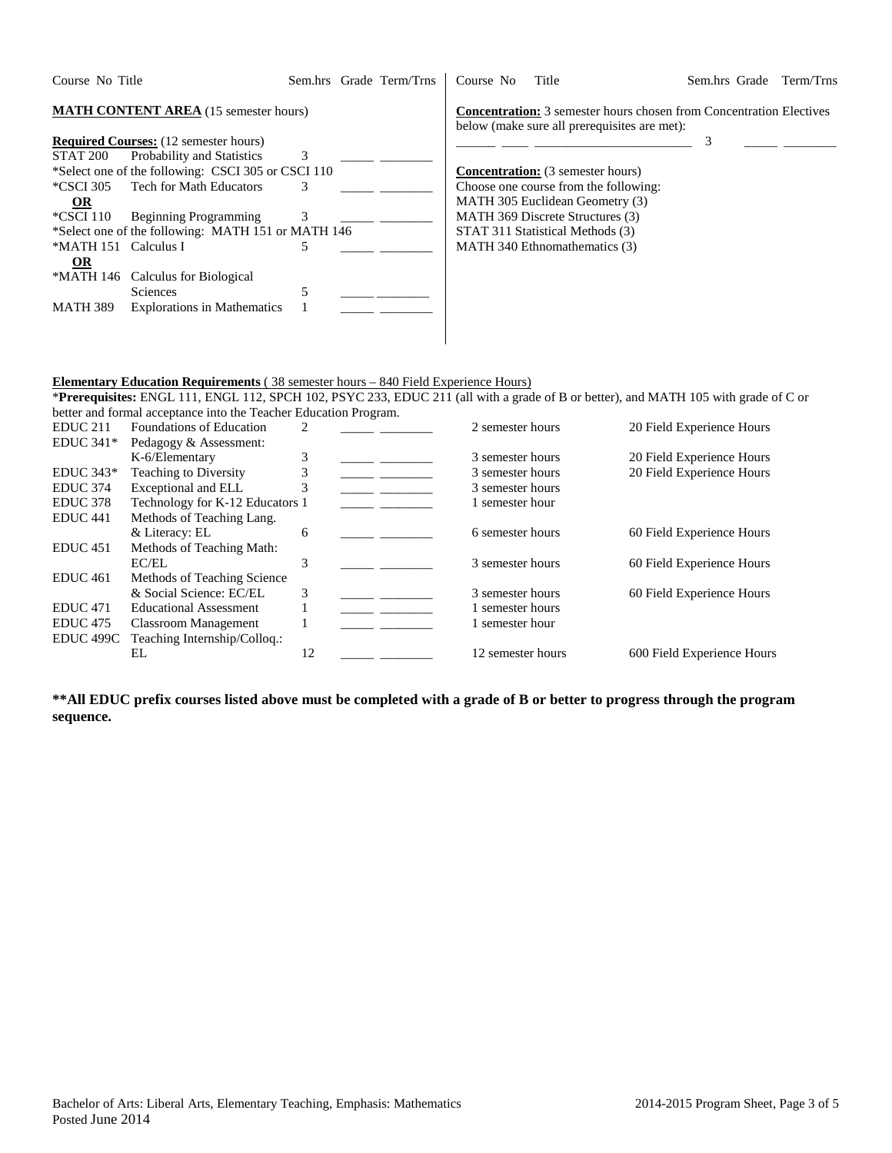| Course No Title                                       | Sem.hrs Grade Term/Trns | Course No<br>Title                                                                                                         | Sem.hrs Grade<br>Term/Trns |
|-------------------------------------------------------|-------------------------|----------------------------------------------------------------------------------------------------------------------------|----------------------------|
| <b>MATH CONTENT AREA</b> (15 semester hours)          |                         | <b>Concentration:</b> 3 semester hours chosen from Concentration Electives<br>below (make sure all prerequisites are met): |                            |
| <b>Required Courses:</b> (12 semester hours)          |                         |                                                                                                                            |                            |
| STAT 200<br>Probability and Statistics                | 3                       |                                                                                                                            |                            |
| *Select one of the following: CSCI 305 or CSCI 110    |                         | <b>Concentration:</b> (3 semester hours)                                                                                   |                            |
| <b>Tech for Math Educators</b><br>*CSCI 305           | 3                       | Choose one course from the following:                                                                                      |                            |
| $\Omega$                                              |                         | MATH 305 Euclidean Geometry (3)                                                                                            |                            |
| *CSCI 110<br><b>Beginning Programming</b>             | 3                       | MATH 369 Discrete Structures (3)                                                                                           |                            |
| *Select one of the following: MATH 151 or MATH 146    |                         | STAT 311 Statistical Methods (3)                                                                                           |                            |
| *MATH 151<br>Calculus I                               | 5                       | MATH 340 Ethnomathematics (3)                                                                                              |                            |
| $OR$                                                  |                         |                                                                                                                            |                            |
| *MATH 146<br>Calculus for Biological                  |                         |                                                                                                                            |                            |
| Sciences                                              | 5                       |                                                                                                                            |                            |
| <b>Explorations in Mathematics</b><br><b>MATH 389</b> |                         |                                                                                                                            |                            |
|                                                       |                         |                                                                                                                            |                            |
|                                                       |                         |                                                                                                                            |                            |

#### **Elementary Education Requirements** ( 38 semester hours – 840 Field Experience Hours)

\***Prerequisites:** ENGL 111, ENGL 112, SPCH 102, PSYC 233, EDUC 211 (all with a grade of B or better), and MATH 105 with grade of C or better and formal acceptance into the Teacher Education Program.

| <b>Foundations of Education</b> |    |                                 | 2 semester hours  | 20 Field Experience Hours  |
|---------------------------------|----|---------------------------------|-------------------|----------------------------|
| Pedagogy & Assessment:          |    |                                 |                   |                            |
| K-6/Elementary                  | 3  |                                 | 3 semester hours  | 20 Field Experience Hours  |
| <b>Teaching to Diversity</b>    |    |                                 | 3 semester hours  | 20 Field Experience Hours  |
| Exceptional and ELL             | 3  |                                 | 3 semester hours  |                            |
|                                 |    |                                 | 1 semester hour   |                            |
| Methods of Teaching Lang.       |    |                                 |                   |                            |
| & Literacy: EL                  | 6  |                                 | 6 semester hours  | 60 Field Experience Hours  |
| Methods of Teaching Math:       |    |                                 |                   |                            |
| EC/EL                           | 3  |                                 | 3 semester hours  | 60 Field Experience Hours  |
| Methods of Teaching Science     |    |                                 |                   |                            |
| & Social Science: EC/EL         | 3  |                                 | 3 semester hours  | 60 Field Experience Hours  |
| <b>Educational Assessment</b>   |    |                                 | 1 semester hours  |                            |
| Classroom Management            |    |                                 | 1 semester hour   |                            |
| Teaching Internship/Collog.:    |    |                                 |                   |                            |
| EL                              | 12 |                                 | 12 semester hours | 600 Field Experience Hours |
| EDUC <sub>499C</sub>            |    | Technology for K-12 Educators 1 |                   |                            |

**\*\*All EDUC prefix courses listed above must be completed with a grade of B or better to progress through the program sequence.**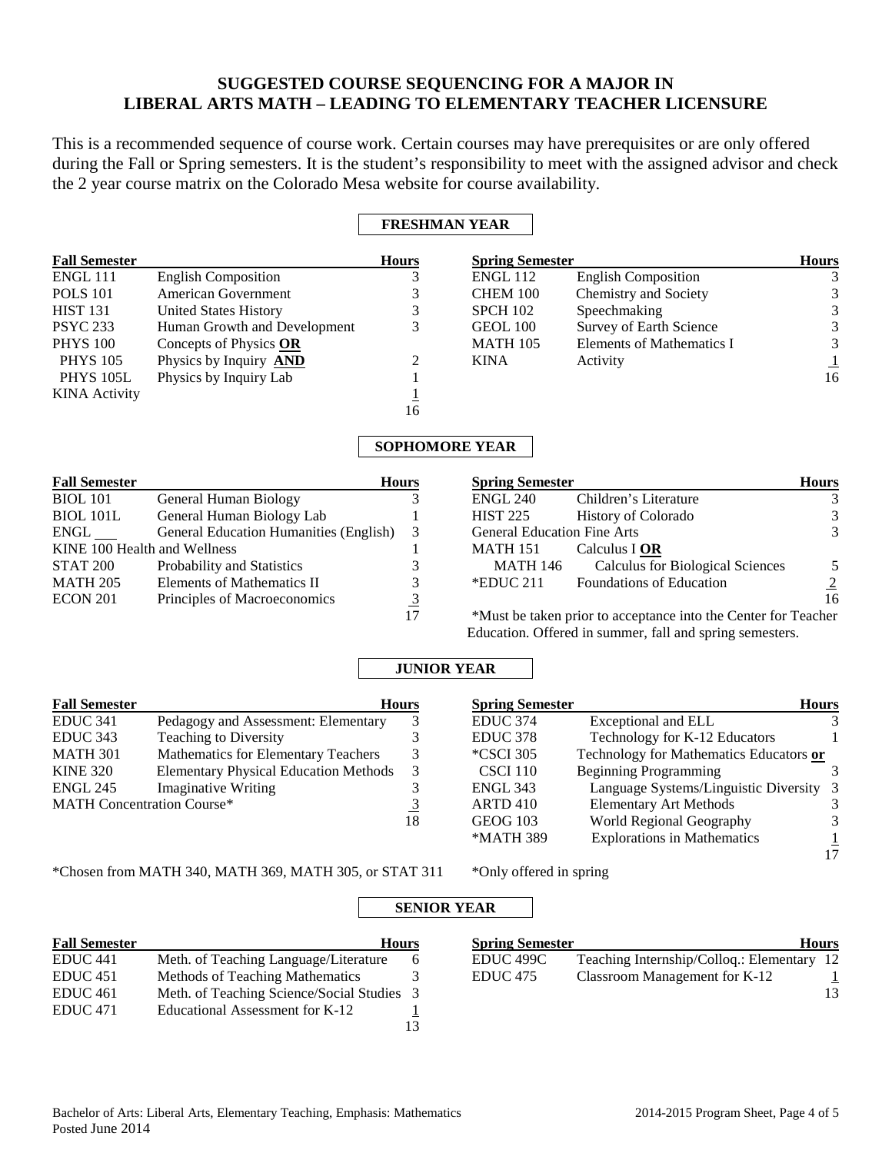# **SUGGESTED COURSE SEQUENCING FOR A MAJOR IN LIBERAL ARTS MATH – LEADING TO ELEMENTARY TEACHER LICENSURE**

This is a recommended sequence of course work. Certain courses may have prerequisites or are only offered during the Fall or Spring semesters. It is the student's responsibility to meet with the assigned advisor and check the 2 year course matrix on the Colorado Mesa website for course availability.

## **FRESHMAN YEAR**

| <b>Fall Semester</b> |                               | <b>Hours</b> | <b>Spring Semester</b> |                            | <b>Hours</b> |
|----------------------|-------------------------------|--------------|------------------------|----------------------------|--------------|
| <b>ENGL 111</b>      | <b>English Composition</b>    |              | ENGL 112               | <b>English Composition</b> |              |
| <b>POLS</b> 101      | American Government           |              | CHEM 100               | Chemistry and Society      | 3            |
| <b>HIST 131</b>      | United States History         |              | <b>SPCH 102</b>        | Speechmaking               | 3            |
| <b>PSYC 233</b>      | Human Growth and Development  | 3            | GEOL 100               | Survey of Earth Science    | 3            |
| <b>PHYS 100</b>      | Concepts of Physics OR        |              | <b>MATH 105</b>        | Elements of Mathematics I  | 3            |
| <b>PHYS</b> 105      | Physics by Inquiry <b>AND</b> | 2            | <b>KINA</b>            | Activity                   |              |
| <b>PHYS 105L</b>     | Physics by Inquiry Lab        |              |                        |                            | 16           |
| <b>KINA</b> Activity |                               |              |                        |                            |              |
|                      |                               | 16           |                        |                            |              |

## **SOPHOMORE YEAR**

| <b>Fall Semester</b>         |                                               | <b>Hours</b> | <b>Spring Semester</b>             |                                                                | <b>Hours</b>   |
|------------------------------|-----------------------------------------------|--------------|------------------------------------|----------------------------------------------------------------|----------------|
| <b>BIOL</b> 101              | General Human Biology                         |              | <b>ENGL 240</b>                    | Children's Literature                                          | 3              |
| <b>BIOL 101L</b>             | General Human Biology Lab                     |              | <b>HIST 225</b>                    | <b>History of Colorado</b>                                     | 3              |
| $ENGL$ <sub>____</sub>       | <b>General Education Humanities (English)</b> | 3            | <b>General Education Fine Arts</b> |                                                                | 3              |
| KINE 100 Health and Wellness |                                               |              | <b>MATH 151</b>                    | Calculus I OR                                                  |                |
| STAT 200                     | Probability and Statistics                    |              | MATH 146                           | <b>Calculus for Biological Sciences</b>                        | 5              |
| <b>MATH 205</b>              | Elements of Mathematics II                    |              | *EDUC 211                          | <b>Foundations of Education</b>                                | $\overline{2}$ |
| ECON 201                     | Principles of Macroeconomics                  |              |                                    |                                                                | 16             |
|                              |                                               | 17           |                                    | *Must be taken prior to acceptance into the Center for Teacher |                |

Education. Offered in summer, fall and spring semesters.

## **JUNIOR YEAR**

| <b>Fall Semester</b>              |                                              | <b>Hours</b> | <b>Spring Semester</b> |  |
|-----------------------------------|----------------------------------------------|--------------|------------------------|--|
| <b>EDUC 341</b>                   | Pedagogy and Assessment: Elementary          |              | EDUC <sub>374</sub>    |  |
| EDUC <sub>343</sub>               | <b>Teaching to Diversity</b>                 |              | <b>EDUC</b> 378        |  |
| <b>MATH 301</b>                   | Mathematics for Elementary Teachers          | 3            | *CSCI 305              |  |
| <b>KINE 320</b>                   | <b>Elementary Physical Education Methods</b> | 3            | <b>CSCI 110</b>        |  |
| <b>ENGL 245</b>                   | <b>Imaginative Writing</b>                   |              | ENGL 343               |  |
| <b>MATH Concentration Course*</b> |                                              | <u>3</u>     | <b>ARTD 410</b>        |  |
|                                   |                                              | 18           | <b>GEOG 103</b>        |  |

**Hours** Exceptional and ELL 3 Technology for K-12 Educators 1 Technology for Mathematics Educators **or** Beginning Programming 3 Language Systems/Linguistic Diversity 3<br>Elementary Art Methods 3 Elementary Art Methods World Regional Geography 3 \*MATH 389 Explorations in Mathematics  $\frac{1}{2}$ 17

\*Chosen from MATH 340, MATH 369, MATH 305, or STAT 311 \*Only offered in spring

# **SENIOR YE Fall Semester Hours**

| т ан эснкэкс        | 110013                                   |     |
|---------------------|------------------------------------------|-----|
| EDUC <sub>441</sub> | Meth. of Teaching Language/Literature    | 6.  |
| EDUC <sub>451</sub> | Methods of Teaching Mathematics          | 3   |
| EDUC <sub>461</sub> | Meth. of Teaching Science/Social Studies | -3- |
| EDUC <sub>471</sub> | Educational Assessment for K-12          |     |
|                     |                                          | 13  |

| ٨<br>ш<br>u |  |
|-------------|--|
|             |  |

| <b>Spring Semester</b> | <b>Hours</b>                               |    |
|------------------------|--------------------------------------------|----|
| EDUC 499C              | Teaching Internship/Colloq.: Elementary 12 |    |
| EDUC 475               | Classroom Management for K-12              |    |
|                        |                                            | 13 |